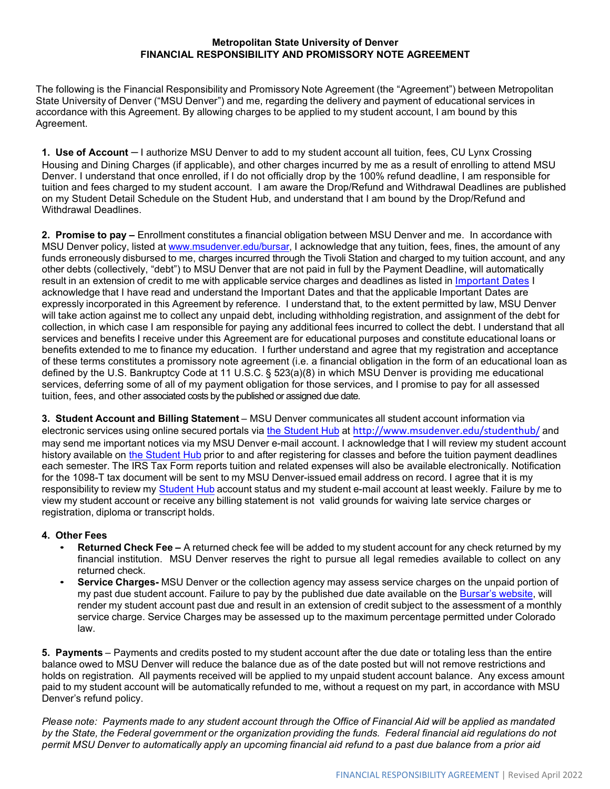## **Metropolitan State University of Denver FINANCIAL RESPONSIBILITY AND PROMISSORY NOTE AGREEMENT**

The following is the Financial Responsibility and Promissory Note Agreement (the "Agreement") between Metropolitan State University of Denver ("MSU Denver") and me, regarding the delivery and payment of educational services in accordance with this Agreement. By allowing charges to be applied to my student account, I am bound by this Agreement.

**1. Use of Account –** I authorize MSU Denver to add to my student account all tuition, fees, CU Lynx Crossing Housing and Dining Charges (if applicable), and other charges incurred by me as a result of enrolling to attend MSU Denver. I understand that once enrolled, if I do not officially drop by the 100% refund deadline, I am responsible for tuition and fees charged to my student account. I am aware the Drop/Refund and Withdrawal Deadlines are published on my Student Detail Schedule on the Student Hub, and understand that I am bound by the Drop/Refund and Withdrawal Deadlines.

**2. Promise to pay –** Enrollment constitutes a financial obligation between MSU Denver and me. In accordance with MSU Denver policy, listed at [www.msudenver.edu/bursar, I](http://www.msudenver.edu/bursar) acknowledge that any tuition, fees, fines, the amount of any funds erroneously disbursed to me, charges incurred through the Tivoli Station and charged to my tuition account, and any other debts (collectively, "debt") to MSU Denver that are not paid in full by the Payment Deadline, will automatically result in an extension of credit to me with applicable service charges and deadlines as listed in [Important Dates](https://msudenver.edu/bursar/importantdates/) I acknowledge that I have read and understand the Important Dates and that the applicable Important Dates are expressly incorporated in this Agreement by reference. I understand that, to the extent permitted by law, MSU Denver will take action against me to collect any unpaid debt, including withholding registration, and assignment of the debt for collection, in which case I am responsible for paying any additional fees incurred to collect the debt. I understand that all services and benefits I receive under this Agreement are for educational purposes and constitute educational loans or benefits extended to me to finance my education. I further understand and agree that my registration and acceptance of these terms constitutes a promissory note agreement (i.e. a financial obligation in the form of an educational loan as defined by the U.S. Bankruptcy Code at 11 U.S.C. § 523(a)(8) in which MSU Denver is providing me educational services, deferring some of all of my payment obligation for those services, and I promise to pay for all assessed tuition, fees, and other associated costs by the published or assigned due date.

**3. Student Account and Billing Statement** – MSU Denver communicates all student account information via electronic services using online secured portals via [the Student Hub](http://www.msudenver.edu/studenthub/) at <http://www.msudenver.edu/studenthub/> and may send me important notices via my MSU Denver e-mail account. I acknowledge that I will review my student account history available on [the Student Hub](http://www.msudenver.edu/studenthub/) prior to and after registering for classes and before the tuition payment deadlines each semester. The IRS Tax Form reports tuition and related expenses will also be available electronically. Notification for the 1098-T tax document will be sent to my MSU Denver-issuedemail address on record. I agree that it is my responsibility to review my [Student Hub](http://www.msudenver.edu/studenthub/) account status and my student e-mail account at least weekly. Failure by me to view my student account or receive any billing statement is not valid grounds for waiving late service charges or registration, diploma or transcript holds.

## **4. Other Fees**

- **Returned Check Fee** A returned check fee will be added to my student account for any check returned by my financial institution. MSU Denver reserves the right to pursue all legal remedies available to collect on any returned check.
- **Service Charges-** MSU Denver or the collection agency may assess service charges on the unpaid portion of my past due student account. Failure to pay by the published due date available on the [Bursar's website, wi](https://www.msudenver.edu/bursar/importantdates/)ll render my student account past due and result in an extension of credit subject to the assessment of a monthly service charge. Service Charges may be assessed up to the maximum percentage permitted under Colorado law.

**5. Payments** – Payments and credits posted to my student account after the due date or totaling less than the entire balance owed to MSU Denver will reduce the balance due as of the date posted but will not remove restrictions and holds on registration. All payments received will be applied to my unpaid student account balance. Any excess amount paid to my student account will be automatically refunded to me, without a request on my part, in accordance with MSU Denver's refund policy.

*Please note: Payments made to any student account through the Office of Financial Aid will be applied as mandated by the State, the Federal government or the organization providing the funds. Federal financial aid regulations do not permit MSU Denver to automatically apply an upcoming financial aid refund to a past due balance from a prior aid*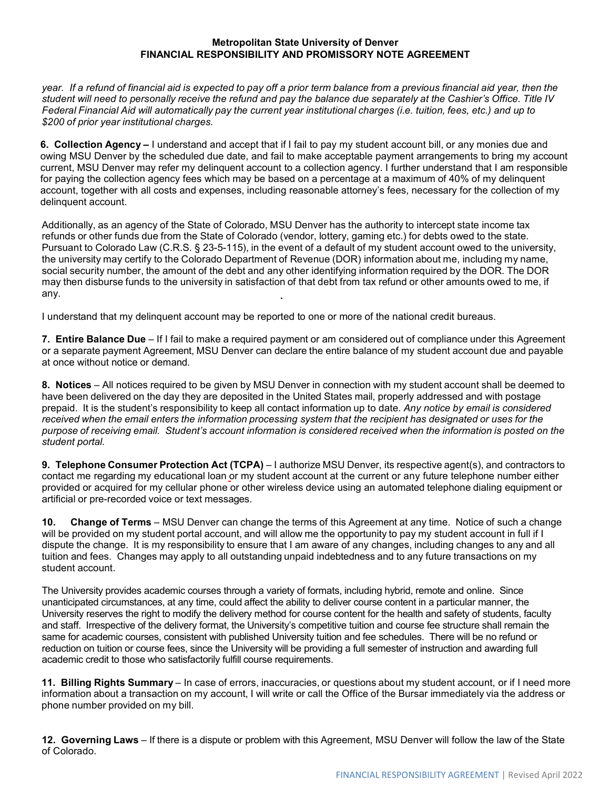## **Metropolitan State University of Denver FINANCIAL RESPONSIBILITY AND PROMISSORY NOTE AGREEMENT**

*year. If a refund of financial aid is expected to pay off a prior term balance from a previous financial aid year, then the student will need to personally receive the refund and pay the balance due separately at the Cashier's Office. Title IV Federal Financial Aid will automatically pay the current year institutional charges (i.e. tuition, fees, etc.) and up to \$200 of prior year institutional charges.*

**6. Collection Agency –** I understand and accept that if I fail to pay my student account bill, or any monies due and owing MSU Denver by the scheduled due date, and fail to make acceptable payment arrangements to bring my account current, MSU Denver may refer my delinquent account to a collection agency. I further understand that I am responsible for paying the collection agency fees which may be based on a percentage at a maximum of 40% of my delinquent account, together with all costs and expenses, including reasonable attorney's fees, necessary for the collection of my delinquent account.

Additionally, as an agency of the State of Colorado, MSU Denver has the authority to intercept state income tax refunds or other funds due from the State of Colorado (vendor, lottery, gaming etc.) for debts owed to the state. Pursuant to Colorado Law (C.R.S. § 23-5-115), in the event of a default of my student account owed to the university, the university may certify to the Colorado Department of Revenue (DOR) information about me, including my name, social security number, the amount of the debt and any other identifying information required by the DOR. The DOR may then disburse funds to the university in satisfaction of that debt from tax refund or other amounts owed to me, if any.

I understand that my delinquent account may be reported to one or more of the national credit bureaus.

**7. Entire Balance Due** – If I fail to make a required payment or am considered out of compliance under this Agreement or a separate payment Agreement, MSU Denver can declare the entire balance of my student account due and payable at once without notice or demand.

**8. Notices** – All notices required to be given by MSU Denver in connection with my student account shall be deemed to have been delivered on the day they are deposited in the United States mail, properly addressed and with postage prepaid. It is the student's responsibility to keep all contact information up to date. *Any notice by email is considered received when the email enters the information processing system that the recipient has designated or uses for the purpose of receiving email. Student's account information is considered received when the information is posted on the student portal.*

**9. Telephone Consumer Protection Act (TCPA)** – I authorize MSU Denver, its respective agent(s), and contractors to contact me regarding my educational loan or my student account at the current or any future telephone number either provided or acquired for my cellular phone or other wireless device using an automated telephone dialing equipment or artificial or pre-recorded voice or text messages.

**10. Change of Terms** – MSU Denver can change the terms of this Agreement at any time. Notice of such a change will be provided on my student portal account, and will allow me the opportunity to pay my student account in full if I dispute the change. It is my responsibility to ensure that I am aware of any changes, including changes to any and all tuition and fees. Changes may apply to all outstanding unpaid indebtedness and to any future transactions on my student account.

The University provides academic courses through a variety of formats, including hybrid, remote and online. Since unanticipated circumstances, at any time, could affect the ability to deliver course content in a particular manner, the University reserves the right to modify the delivery method for course content for the health and safety of students, faculty and staff. Irrespective of the delivery format, the University's competitive tuition and course fee structure shall remain the same for academic courses, consistent with published University tuition and fee schedules. There will be no refund or reduction on tuition or course fees, since the University will be providing a full semester of instruction and awarding full academic credit to those who satisfactorily fulfill course requirements.

**11. Billing Rights Summary** – In case of errors, inaccuracies, or questions about my student account, or if I need more information about a transaction on my account, I will write or call the Office of the Bursar immediately via the address or phone number provided on my bill.

**12. Governing Laws** – If there is a dispute or problem with this Agreement, MSU Denver will follow the law of the State of Colorado.